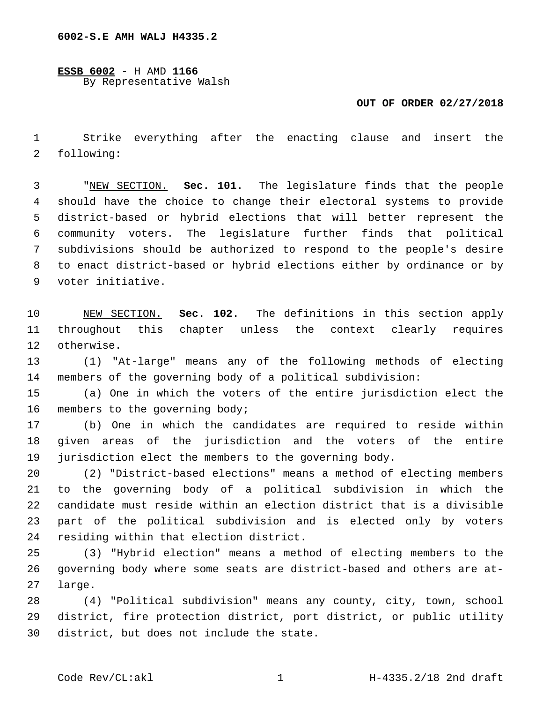**ESSB 6002** - H AMD **1166** By Representative Walsh

## **OUT OF ORDER 02/27/2018**

 Strike everything after the enacting clause and insert the 2 following:

 "NEW SECTION. **Sec. 101.** The legislature finds that the people should have the choice to change their electoral systems to provide district-based or hybrid elections that will better represent the community voters. The legislature further finds that political subdivisions should be authorized to respond to the people's desire to enact district-based or hybrid elections either by ordinance or by voter initiative.

 NEW SECTION. **Sec. 102.** The definitions in this section apply throughout this chapter unless the context clearly requires otherwise.

 (1) "At-large" means any of the following methods of electing members of the governing body of a political subdivision:

 (a) One in which the voters of the entire jurisdiction elect the 16 members to the governing body;

 (b) One in which the candidates are required to reside within given areas of the jurisdiction and the voters of the entire jurisdiction elect the members to the governing body.

 (2) "District-based elections" means a method of electing members to the governing body of a political subdivision in which the candidate must reside within an election district that is a divisible part of the political subdivision and is elected only by voters 24 residing within that election district.

 (3) "Hybrid election" means a method of electing members to the governing body where some seats are district-based and others are at-27 large.

 (4) "Political subdivision" means any county, city, town, school district, fire protection district, port district, or public utility 30 district, but does not include the state.

Code Rev/CL:akl 1 1 H-4335.2/18 2nd draft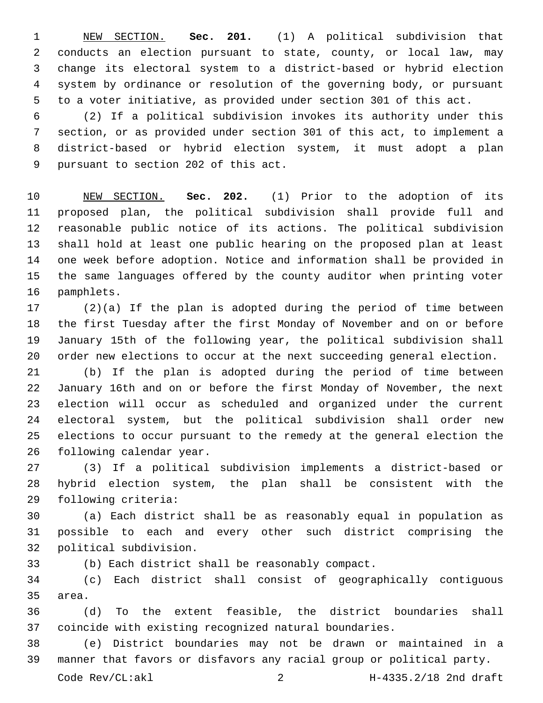NEW SECTION. **Sec. 201.** (1) A political subdivision that conducts an election pursuant to state, county, or local law, may change its electoral system to a district-based or hybrid election system by ordinance or resolution of the governing body, or pursuant to a voter initiative, as provided under section 301 of this act.

 (2) If a political subdivision invokes its authority under this section, or as provided under section 301 of this act, to implement a district-based or hybrid election system, it must adopt a plan 9 pursuant to section 202 of this act.

 NEW SECTION. **Sec. 202.** (1) Prior to the adoption of its proposed plan, the political subdivision shall provide full and reasonable public notice of its actions. The political subdivision shall hold at least one public hearing on the proposed plan at least one week before adoption. Notice and information shall be provided in the same languages offered by the county auditor when printing voter pamphlets.

 (2)(a) If the plan is adopted during the period of time between the first Tuesday after the first Monday of November and on or before January 15th of the following year, the political subdivision shall order new elections to occur at the next succeeding general election.

 (b) If the plan is adopted during the period of time between January 16th and on or before the first Monday of November, the next election will occur as scheduled and organized under the current electoral system, but the political subdivision shall order new elections to occur pursuant to the remedy at the general election the 26 following calendar year.

 (3) If a political subdivision implements a district-based or hybrid election system, the plan shall be consistent with the 29 following criteria:

 (a) Each district shall be as reasonably equal in population as possible to each and every other such district comprising the 32 political subdivision.

(b) Each district shall be reasonably compact.

 (c) Each district shall consist of geographically contiguous 35 area.

 (d) To the extent feasible, the district boundaries shall coincide with existing recognized natural boundaries.

 (e) District boundaries may not be drawn or maintained in a manner that favors or disfavors any racial group or political party.

Code Rev/CL:akl 2 H-4335.2/18 2nd draft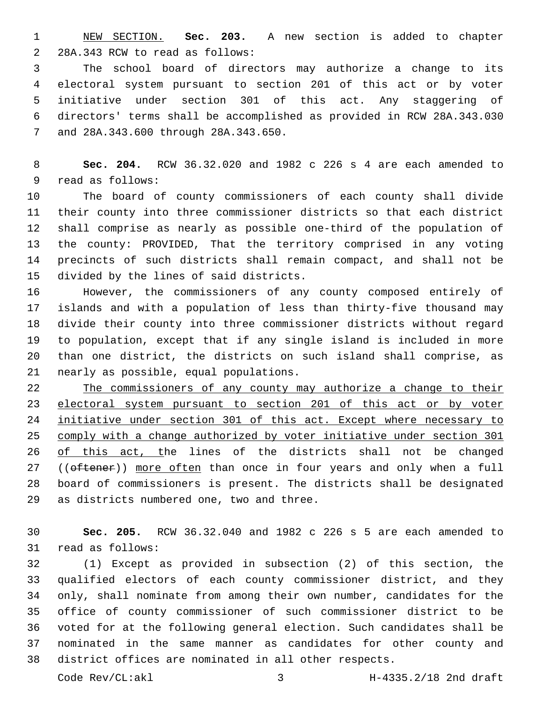NEW SECTION. **Sec. 203.** A new section is added to chapter 2 28A.343 RCW to read as follows:

 The school board of directors may authorize a change to its electoral system pursuant to section 201 of this act or by voter initiative under section 301 of this act. Any staggering of directors' terms shall be accomplished as provided in RCW 28A.343.030 and 28A.343.600 through 28A.343.650.7

 **Sec. 204.** RCW 36.32.020 and 1982 c 226 s 4 are each amended to 9 read as follows:

 The board of county commissioners of each county shall divide their county into three commissioner districts so that each district shall comprise as nearly as possible one-third of the population of the county: PROVIDED, That the territory comprised in any voting precincts of such districts shall remain compact, and shall not be 15 divided by the lines of said districts.

 However, the commissioners of any county composed entirely of islands and with a population of less than thirty-five thousand may divide their county into three commissioner districts without regard to population, except that if any single island is included in more than one district, the districts on such island shall comprise, as 21 nearly as possible, equal populations.

 The commissioners of any county may authorize a change to their electoral system pursuant to section 201 of this act or by voter initiative under section 301 of this act. Except where necessary to comply with a change authorized by voter initiative under section 301 of this act, the lines of the districts shall not be changed 27 ((oftener)) more often than once in four years and only when a full board of commissioners is present. The districts shall be designated 29 as districts numbered one, two and three.

 **Sec. 205.** RCW 36.32.040 and 1982 c 226 s 5 are each amended to 31 read as follows:

 (1) Except as provided in subsection (2) of this section, the qualified electors of each county commissioner district, and they only, shall nominate from among their own number, candidates for the office of county commissioner of such commissioner district to be voted for at the following general election. Such candidates shall be nominated in the same manner as candidates for other county and district offices are nominated in all other respects.

Code Rev/CL:akl 3 H-4335.2/18 2nd draft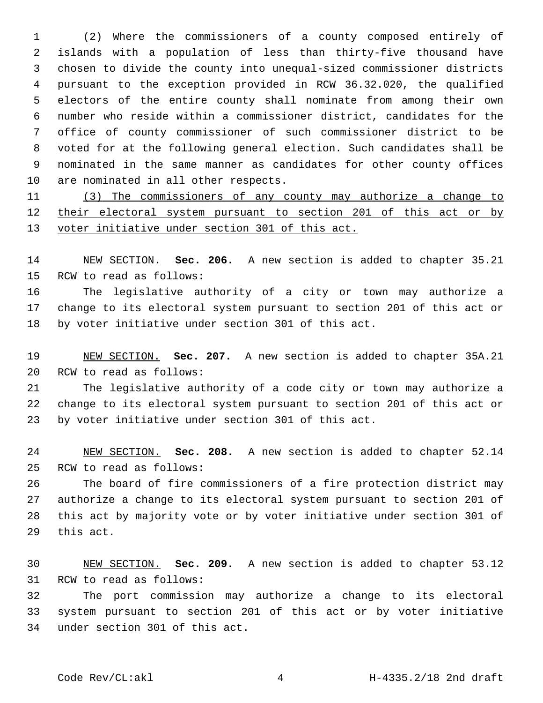(2) Where the commissioners of a county composed entirely of islands with a population of less than thirty-five thousand have chosen to divide the county into unequal-sized commissioner districts pursuant to the exception provided in RCW 36.32.020, the qualified electors of the entire county shall nominate from among their own number who reside within a commissioner district, candidates for the office of county commissioner of such commissioner district to be voted for at the following general election. Such candidates shall be nominated in the same manner as candidates for other county offices 10 are nominated in all other respects.

 (3) The commissioners of any county may authorize a change to their electoral system pursuant to section 201 of this act or by voter initiative under section 301 of this act.

 NEW SECTION. **Sec. 206.** A new section is added to chapter 35.21 15 RCW to read as follows:

 The legislative authority of a city or town may authorize a change to its electoral system pursuant to section 201 of this act or by voter initiative under section 301 of this act.

 NEW SECTION. **Sec. 207.** A new section is added to chapter 35A.21 20 RCW to read as follows:

 The legislative authority of a code city or town may authorize a change to its electoral system pursuant to section 201 of this act or by voter initiative under section 301 of this act.

 NEW SECTION. **Sec. 208.** A new section is added to chapter 52.14 25 RCW to read as follows:

 The board of fire commissioners of a fire protection district may authorize a change to its electoral system pursuant to section 201 of this act by majority vote or by voter initiative under section 301 of 29 this act.

 NEW SECTION. **Sec. 209.** A new section is added to chapter 53.12 31 RCW to read as follows:

 The port commission may authorize a change to its electoral system pursuant to section 201 of this act or by voter initiative 34 under section 301 of this act.

Code Rev/CL:akl 4 H-4335.2/18 2nd draft